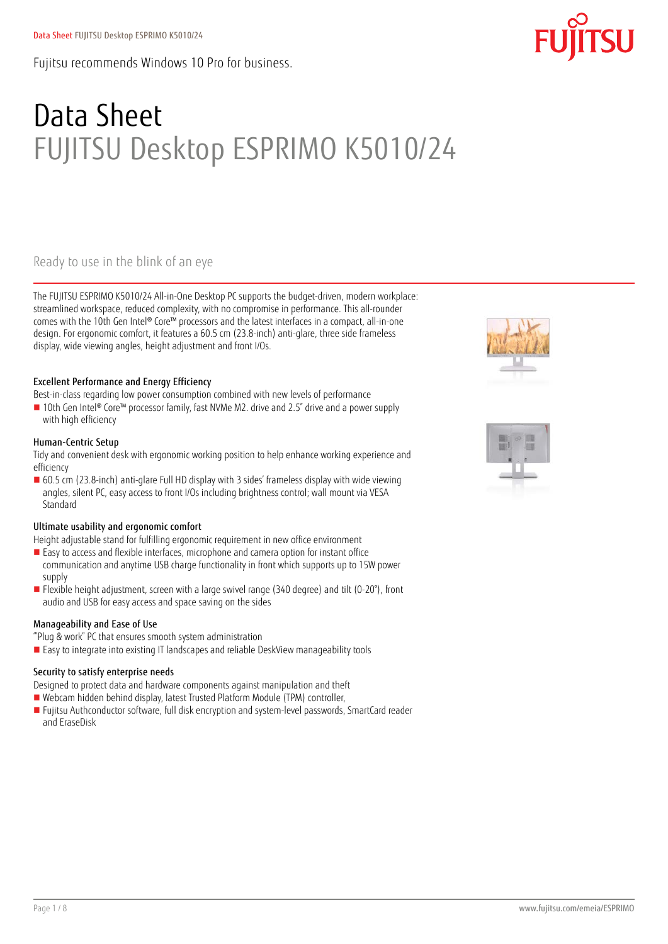Fujitsu recommends Windows 10 Pro for business.

# Data Sheet FUJITSU Desktop ESPRIMO K5010/24

### Ready to use in the blink of an eye

The FUJITSU ESPRIMO K5010/24 All-in-One Desktop PC supports the budget-driven, modern workplace: streamlined workspace, reduced complexity, with no compromise in performance. This all-rounder comes with the 10th Gen Intel® Core™ processors and the latest interfaces in a compact, all-in-one design. For ergonomic comfort, it features a 60.5 cm (23.8-inch) anti-glare, three side frameless display, wide viewing angles, height adjustment and front I/Os.

### Excellent Performance and Energy Efficiency

Best-in-class regarding low power consumption combined with new levels of performance

■ 10th Gen Intel® Core™ processor family, fast NVMe M2. drive and 2.5" drive and a power supply with high efficiency

### Human-Centric Setup

Tidy and convenient desk with ergonomic working position to help enhance working experience and efficiency

 60.5 cm (23.8-inch) anti-glare Full HD display with 3 sides' frameless display with wide viewing angles, silent PC, easy access to front I/Os including brightness control; wall mount via VESA Standard

### Ultimate usability and ergonomic comfort

Height adjustable stand for fulfilling ergonomic requirement in new office environment

- Easy to access and flexible interfaces, microphone and camera option for instant office communication and anytime USB charge functionality in front which supports up to 15W power supply
- Flexible height adjustment, screen with a large swivel range (340 degree) and tilt (0-20°), front audio and USB for easy access and space saving on the sides

### Manageability and Ease of Use

'"Plug & work" PC that ensures smooth system administration

■ Easy to integrate into existing IT landscapes and reliable DeskView manageability tools

### Security to satisfy enterprise needs

Designed to protect data and hardware components against manipulation and theft

- Webcam hidden behind display, latest Trusted Platform Module (TPM) controller,
- Fujitsu Authconductor software, full disk encryption and system-level passwords, SmartCard reader and EraseDisk





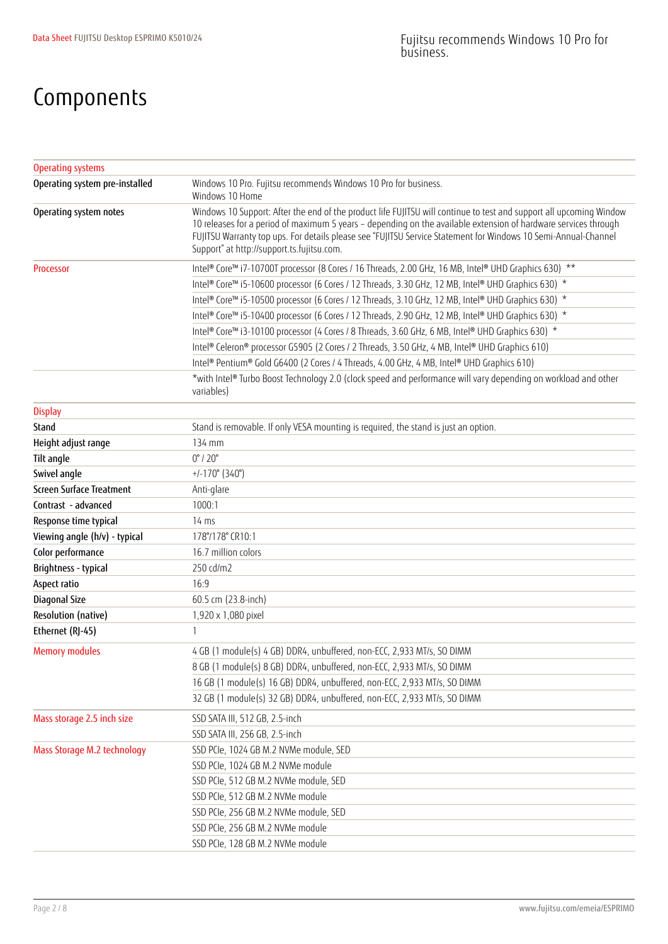## Components

| <b>Operating systems</b>           |                                                                                                                                                                                                                                                                                                                                                                                                        |
|------------------------------------|--------------------------------------------------------------------------------------------------------------------------------------------------------------------------------------------------------------------------------------------------------------------------------------------------------------------------------------------------------------------------------------------------------|
| Operating system pre-installed     | Windows 10 Pro. Fujitsu recommends Windows 10 Pro for business.<br>Windows 10 Home                                                                                                                                                                                                                                                                                                                     |
| Operating system notes             | Windows 10 Support: After the end of the product life FUJITSU will continue to test and support all upcoming Window<br>10 releases for a period of maximum 5 years - depending on the available extension of hardware services through<br>FUJITSU Warranty top ups. For details please see "FUJITSU Service Statement for Windows 10 Semi-Annual-Channel<br>Support" at http://support.ts.fujitsu.com. |
| <b>Processor</b>                   | Intel® Core™ i7-10700T processor (8 Cores / 16 Threads, 2.00 GHz, 16 MB, Intel® UHD Graphics 630) **                                                                                                                                                                                                                                                                                                   |
|                                    | Intel® Core™ i5-10600 processor (6 Cores / 12 Threads, 3.30 GHz, 12 MB, Intel® UHD Graphics 630) *                                                                                                                                                                                                                                                                                                     |
|                                    | Intel® Core™ i5-10500 processor (6 Cores / 12 Threads, 3.10 GHz, 12 MB, Intel® UHD Graphics 630) *                                                                                                                                                                                                                                                                                                     |
|                                    | Intel® Core™ i5-10400 processor (6 Cores / 12 Threads, 2.90 GHz, 12 MB, Intel® UHD Graphics 630) *                                                                                                                                                                                                                                                                                                     |
|                                    | Intel® Core™ i3-10100 processor (4 Cores / 8 Threads, 3.60 GHz, 6 MB, Intel® UHD Graphics 630) *                                                                                                                                                                                                                                                                                                       |
|                                    | Intel® Celeron® processor G5905 (2 Cores / 2 Threads, 3.50 GHz, 4 MB, Intel® UHD Graphics 610)                                                                                                                                                                                                                                                                                                         |
|                                    | Intel® Pentium® Gold G6400 (2 Cores / 4 Threads, 4.00 GHz, 4 MB, Intel® UHD Graphics 610)                                                                                                                                                                                                                                                                                                              |
|                                    | *with Intel® Turbo Boost Technology 2.0 (clock speed and performance will vary depending on workload and other<br>variables)                                                                                                                                                                                                                                                                           |
| <b>Display</b>                     |                                                                                                                                                                                                                                                                                                                                                                                                        |
| Stand                              | Stand is removable. If only VESA mounting is required, the stand is just an option.                                                                                                                                                                                                                                                                                                                    |
| Height adjust range                | 134 mm                                                                                                                                                                                                                                                                                                                                                                                                 |
| Tilt angle                         | $0^\circ$ / $20^\circ$                                                                                                                                                                                                                                                                                                                                                                                 |
| Swivel angle                       | $+/-170^{\circ}$ (340°)                                                                                                                                                                                                                                                                                                                                                                                |
| Screen Surface Treatment           | Anti-glare                                                                                                                                                                                                                                                                                                                                                                                             |
| Contrast - advanced                | 1000:1                                                                                                                                                                                                                                                                                                                                                                                                 |
| Response time typical              | $14 \text{ ms}$                                                                                                                                                                                                                                                                                                                                                                                        |
| Viewing angle (h/v) - typical      | 178°/178° CR10:1                                                                                                                                                                                                                                                                                                                                                                                       |
| Color performance                  | 16.7 million colors                                                                                                                                                                                                                                                                                                                                                                                    |
| Brightness - typical               | 250 cd/m2                                                                                                                                                                                                                                                                                                                                                                                              |
| Aspect ratio                       | 16:9                                                                                                                                                                                                                                                                                                                                                                                                   |
| Diagonal Size                      | 60.5 cm (23.8-inch)                                                                                                                                                                                                                                                                                                                                                                                    |
| Resolution (native)                | 1,920 x 1,080 pixel                                                                                                                                                                                                                                                                                                                                                                                    |
| Ethernet (RJ-45)                   | $\mathbf{1}$                                                                                                                                                                                                                                                                                                                                                                                           |
| <b>Memory modules</b>              | 4 GB (1 module(s) 4 GB) DDR4, unbuffered, non-ECC, 2,933 MT/s, SO DIMM                                                                                                                                                                                                                                                                                                                                 |
|                                    | 8 GB (1 module(s) 8 GB) DDR4, unbuffered, non-ECC, 2,933 MT/s, SO DIMM                                                                                                                                                                                                                                                                                                                                 |
|                                    | 16 GB (1 module(s) 16 GB) DDR4, unbuffered, non-ECC, 2,933 MT/s, SO DIMM                                                                                                                                                                                                                                                                                                                               |
|                                    | 32 GB (1 module(s) 32 GB) DDR4, unbuffered, non-ECC, 2,933 MT/s, SO DIMM                                                                                                                                                                                                                                                                                                                               |
| Mass storage 2.5 inch size         | SSD SATA III, 512 GB, 2.5-inch                                                                                                                                                                                                                                                                                                                                                                         |
|                                    | SSD SATA III, 256 GB, 2.5-inch                                                                                                                                                                                                                                                                                                                                                                         |
| <b>Mass Storage M.2 technology</b> | SSD PCIe, 1024 GB M.2 NVMe module, SED                                                                                                                                                                                                                                                                                                                                                                 |
|                                    | SSD PCIe, 1024 GB M.2 NVMe module                                                                                                                                                                                                                                                                                                                                                                      |
|                                    | SSD PCIe, 512 GB M.2 NVMe module, SED                                                                                                                                                                                                                                                                                                                                                                  |
|                                    | SSD PCIe, 512 GB M.2 NVMe module                                                                                                                                                                                                                                                                                                                                                                       |
|                                    | SSD PCIe, 256 GB M.2 NVMe module, SED                                                                                                                                                                                                                                                                                                                                                                  |
|                                    | SSD PCIe, 256 GB M.2 NVMe module                                                                                                                                                                                                                                                                                                                                                                       |
|                                    | SSD PCIe, 128 GB M.2 NVMe module                                                                                                                                                                                                                                                                                                                                                                       |
|                                    |                                                                                                                                                                                                                                                                                                                                                                                                        |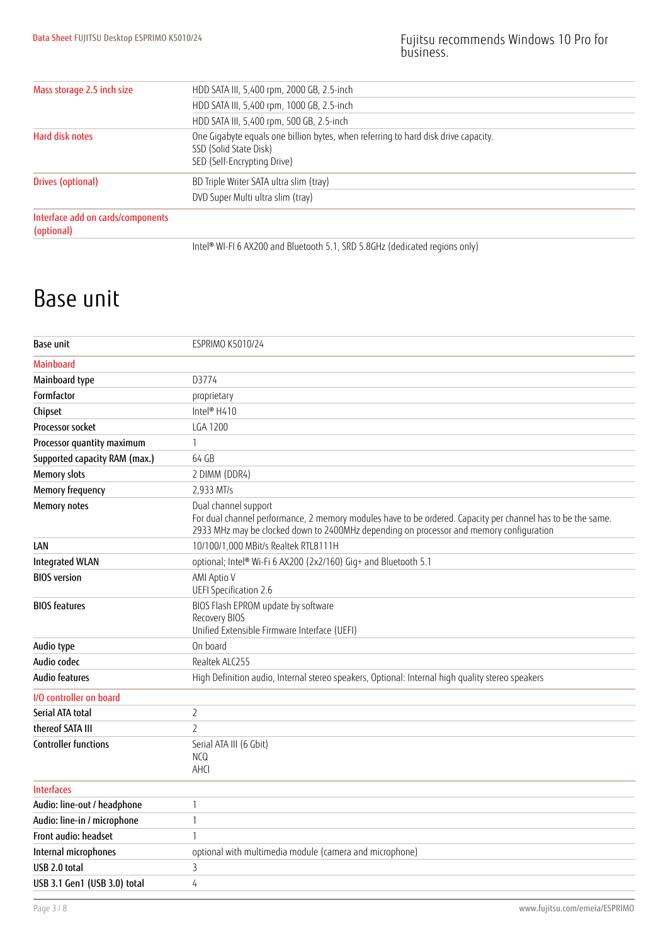| Mass storage 2.5 inch size                      | HDD SATA III, 5,400 rpm, 2000 GB, 2.5-inch                                                                                                  |
|-------------------------------------------------|---------------------------------------------------------------------------------------------------------------------------------------------|
|                                                 | HDD SATA III, 5,400 rpm, 1000 GB, 2.5-inch                                                                                                  |
|                                                 | HDD SATA III, 5,400 rpm, 500 GB, 2.5-inch                                                                                                   |
| Hard disk notes                                 | One Gigabyte equals one billion bytes, when referring to hard disk drive capacity.<br>SSD (Solid State Disk)<br>SED (Self-Encrypting Drive) |
| Drives (optional)                               | BD Triple Writer SATA ultra slim (tray)                                                                                                     |
|                                                 | DVD Super Multi ultra slim (tray)                                                                                                           |
| Interface add on cards/components<br>(optional) |                                                                                                                                             |
|                                                 | Intel® WI-FI 6 AX200 and Bluetooth 5.1, SRD 5.8GHz (dedicated regions only)                                                                 |

### Base unit

| Base unit                     | <b>ESPRIMO K5010/24</b>                                                                                                                                                                                                        |
|-------------------------------|--------------------------------------------------------------------------------------------------------------------------------------------------------------------------------------------------------------------------------|
| <b>Mainboard</b>              |                                                                                                                                                                                                                                |
| Mainboard type                | D3774                                                                                                                                                                                                                          |
| Formfactor                    | proprietary                                                                                                                                                                                                                    |
| Chipset                       | Intel® H410                                                                                                                                                                                                                    |
| Processor socket              | <b>LGA 1200</b>                                                                                                                                                                                                                |
| Processor quantity maximum    | $\mathbf{1}$                                                                                                                                                                                                                   |
| Supported capacity RAM (max.) | 64 GB                                                                                                                                                                                                                          |
| <b>Memory slots</b>           | 2 DIMM (DDR4)                                                                                                                                                                                                                  |
| <b>Memory frequency</b>       | 2,933 MT/s                                                                                                                                                                                                                     |
| <b>Memory notes</b>           | Dual channel support<br>For dual channel performance, 2 memory modules have to be ordered. Capacity per channel has to be the same.<br>2933 MHz may be clocked down to 2400MHz depending on processor and memory configuration |
| LAN                           | 10/100/1,000 MBit/s Realtek RTL8111H                                                                                                                                                                                           |
| <b>Integrated WLAN</b>        | optional; Intel® Wi-Fi 6 AX200 (2x2/160) Gig+ and Bluetooth 5.1                                                                                                                                                                |
| <b>BIOS</b> version           | AMI Aptio V<br>UEFI Specification 2.6                                                                                                                                                                                          |
| <b>BIOS</b> features          | BIOS Flash EPROM update by software<br>Recovery BIOS<br>Unified Extensible Firmware Interface (UEFI)                                                                                                                           |
| Audio type                    | On board                                                                                                                                                                                                                       |
| Audio codec                   | Realtek ALC255                                                                                                                                                                                                                 |
| Audio features                | High Definition audio, Internal stereo speakers, Optional: Internal high quality stereo speakers                                                                                                                               |
| I/O controller on board       |                                                                                                                                                                                                                                |
| Serial ATA total              | $\overline{2}$                                                                                                                                                                                                                 |
| thereof SATA III              | $\overline{2}$                                                                                                                                                                                                                 |
| <b>Controller functions</b>   | Serial ATA III (6 Gbit)<br><b>NCQ</b><br>AHCI                                                                                                                                                                                  |
| <b>Interfaces</b>             |                                                                                                                                                                                                                                |
| Audio: line-out / headphone   | 1                                                                                                                                                                                                                              |
| Audio: line-in / microphone   | $\mathbf{1}$                                                                                                                                                                                                                   |
| Front audio: headset          | $\mathbf{1}$                                                                                                                                                                                                                   |
| Internal microphones          | optional with multimedia module (camera and microphone)                                                                                                                                                                        |
| USB 2.0 total                 | $\overline{3}$                                                                                                                                                                                                                 |
| USB 3.1 Gen1 (USB 3.0) total  | 4                                                                                                                                                                                                                              |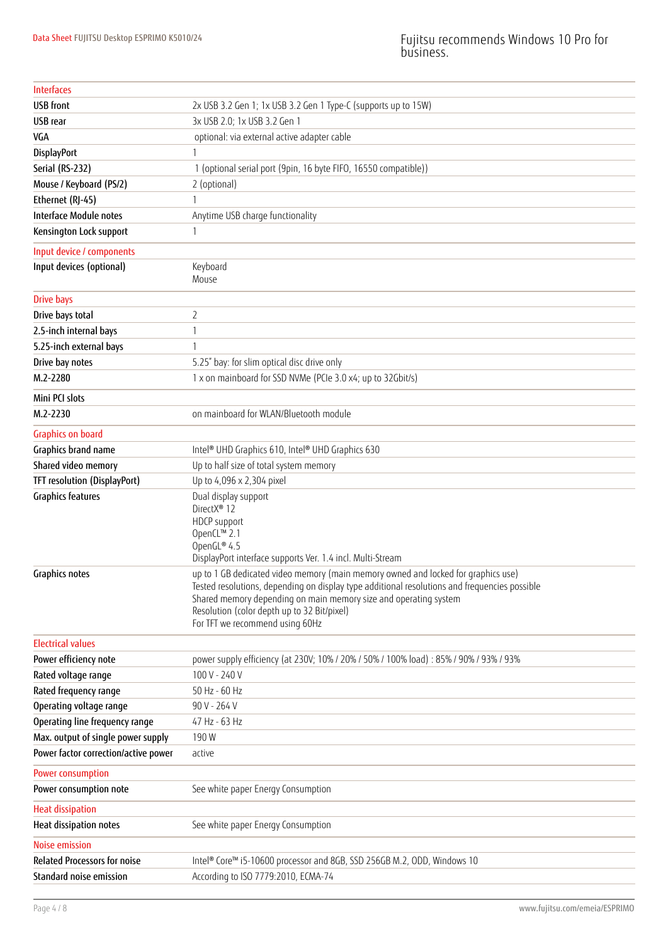| <b>Interfaces</b>                    |                                                                                                                                                                                                                                                                                                                                          |
|--------------------------------------|------------------------------------------------------------------------------------------------------------------------------------------------------------------------------------------------------------------------------------------------------------------------------------------------------------------------------------------|
| <b>USB</b> front                     | 2x USB 3.2 Gen 1; 1x USB 3.2 Gen 1 Type-C (supports up to 15W)                                                                                                                                                                                                                                                                           |
| USB rear                             | 3x USB 2.0; 1x USB 3.2 Gen 1                                                                                                                                                                                                                                                                                                             |
| VGA                                  | optional: via external active adapter cable                                                                                                                                                                                                                                                                                              |
| <b>DisplayPort</b>                   | 1                                                                                                                                                                                                                                                                                                                                        |
| Serial (RS-232)                      | 1 (optional serial port (9pin, 16 byte FIFO, 16550 compatible))                                                                                                                                                                                                                                                                          |
| Mouse / Keyboard (PS/2)              | 2 (optional)                                                                                                                                                                                                                                                                                                                             |
| Ethernet (RJ-45)                     | 1                                                                                                                                                                                                                                                                                                                                        |
| <b>Interface Module notes</b>        | Anytime USB charge functionality                                                                                                                                                                                                                                                                                                         |
| Kensington Lock support              | $\mathbf{1}$                                                                                                                                                                                                                                                                                                                             |
| Input device / components            |                                                                                                                                                                                                                                                                                                                                          |
| Input devices (optional)             | Keyboard<br>Mouse                                                                                                                                                                                                                                                                                                                        |
| <b>Drive bays</b>                    |                                                                                                                                                                                                                                                                                                                                          |
| Drive bays total                     | $\overline{2}$                                                                                                                                                                                                                                                                                                                           |
| 2.5-inch internal bays               | $\mathbf{1}$                                                                                                                                                                                                                                                                                                                             |
| 5.25-inch external bays              | $\mathbf{1}$                                                                                                                                                                                                                                                                                                                             |
| Drive bay notes                      | 5.25" bay: for slim optical disc drive only                                                                                                                                                                                                                                                                                              |
| M.2-2280                             | 1 x on mainboard for SSD NVMe (PCIe 3.0 x4; up to 32Gbit/s)                                                                                                                                                                                                                                                                              |
| Mini PCI slots                       |                                                                                                                                                                                                                                                                                                                                          |
| M.2-2230                             | on mainboard for WLAN/Bluetooth module                                                                                                                                                                                                                                                                                                   |
| <b>Graphics on board</b>             |                                                                                                                                                                                                                                                                                                                                          |
| Graphics brand name                  | Intel <sup>®</sup> UHD Graphics 610, Intel® UHD Graphics 630                                                                                                                                                                                                                                                                             |
| Shared video memory                  | Up to half size of total system memory                                                                                                                                                                                                                                                                                                   |
| TFT resolution (DisplayPort)         | Up to 4,096 x 2,304 pixel                                                                                                                                                                                                                                                                                                                |
| <b>Graphics features</b>             | Dual display support<br>DirectX <sup>®</sup> 12<br>HDCP support<br>OpenCL™ 2.1<br>OpenGL® 4.5<br>DisplayPort interface supports Ver. 1.4 incl. Multi-Stream                                                                                                                                                                              |
| <b>Graphics notes</b>                | up to 1 GB dedicated video memory (main memory owned and locked for graphics use)<br>Tested resolutions, depending on display type additional resolutions and frequencies possible<br>Shared memory depending on main memory size and operating system<br>Resolution (color depth up to 32 Bit/pixel)<br>For TFT we recommend using 60Hz |
| <b>Electrical values</b>             |                                                                                                                                                                                                                                                                                                                                          |
| Power efficiency note                | power supply efficiency (at 230V; 10% / 20% / 50% / 100% load) : 85% / 90% / 93% / 93%                                                                                                                                                                                                                                                   |
| Rated voltage range                  | 100 V - 240 V                                                                                                                                                                                                                                                                                                                            |
| Rated frequency range                | 50 Hz - 60 Hz                                                                                                                                                                                                                                                                                                                            |
| Operating voltage range              | 90 V - 264 V                                                                                                                                                                                                                                                                                                                             |
| Operating line frequency range       | 47 Hz - 63 Hz                                                                                                                                                                                                                                                                                                                            |
| Max. output of single power supply   | 190W                                                                                                                                                                                                                                                                                                                                     |
| Power factor correction/active power | active                                                                                                                                                                                                                                                                                                                                   |
| Power consumption                    |                                                                                                                                                                                                                                                                                                                                          |
| Power consumption note               | See white paper Energy Consumption                                                                                                                                                                                                                                                                                                       |
| <b>Heat dissipation</b>              |                                                                                                                                                                                                                                                                                                                                          |
| Heat dissipation notes               | See white paper Energy Consumption                                                                                                                                                                                                                                                                                                       |
| <b>Noise emission</b>                |                                                                                                                                                                                                                                                                                                                                          |
| <b>Related Processors for noise</b>  | Intel® Core™ i5-10600 processor and 8GB, SSD 256GB M.2, ODD, Windows 10                                                                                                                                                                                                                                                                  |
| Standard noise emission              | According to ISO 7779:2010, ECMA-74                                                                                                                                                                                                                                                                                                      |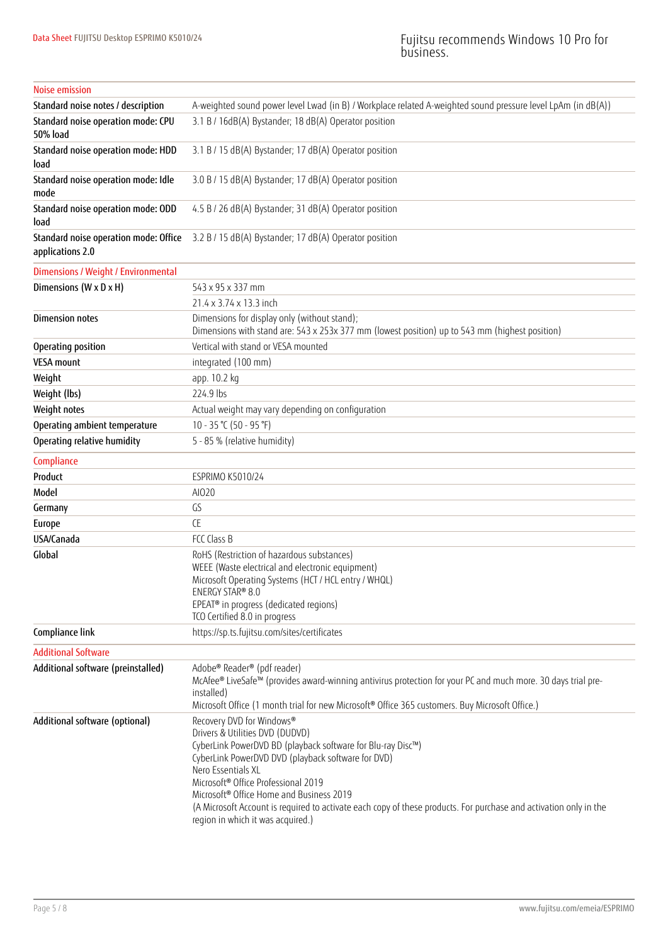### Noise emission

| Standard noise notes / description                        | A-weighted sound power level Lwad (in B) / Workplace related A-weighted sound pressure level LpAm (in dB(A))                                                                                                                                                                                                                                                                                                                                                                 |
|-----------------------------------------------------------|------------------------------------------------------------------------------------------------------------------------------------------------------------------------------------------------------------------------------------------------------------------------------------------------------------------------------------------------------------------------------------------------------------------------------------------------------------------------------|
| Standard noise operation mode: CPU<br>50% load            | 3.1 B / 16dB(A) Bystander; 18 dB(A) Operator position                                                                                                                                                                                                                                                                                                                                                                                                                        |
| Standard noise operation mode: HDD<br>load                | 3.1 B / 15 dB(A) Bystander; 17 dB(A) Operator position                                                                                                                                                                                                                                                                                                                                                                                                                       |
| Standard noise operation mode: Idle<br>mode               | 3.0 B / 15 dB(A) Bystander; 17 dB(A) Operator position                                                                                                                                                                                                                                                                                                                                                                                                                       |
| Standard noise operation mode: ODD<br>load                | 4.5 B / 26 dB(A) Bystander; 31 dB(A) Operator position                                                                                                                                                                                                                                                                                                                                                                                                                       |
| Standard noise operation mode: Office<br>applications 2.0 | 3.2 B / 15 dB(A) Bystander; 17 dB(A) Operator position                                                                                                                                                                                                                                                                                                                                                                                                                       |
| Dimensions / Weight / Environmental                       |                                                                                                                                                                                                                                                                                                                                                                                                                                                                              |
| Dimensions (W x D x H)                                    | 543 x 95 x 337 mm                                                                                                                                                                                                                                                                                                                                                                                                                                                            |
|                                                           | 21.4 x 3.74 x 13.3 inch                                                                                                                                                                                                                                                                                                                                                                                                                                                      |
| <b>Dimension notes</b>                                    | Dimensions for display only (without stand);<br>Dimensions with stand are: 543 x 253x 377 mm (lowest position) up to 543 mm (highest position)                                                                                                                                                                                                                                                                                                                               |
| Operating position                                        | Vertical with stand or VESA mounted                                                                                                                                                                                                                                                                                                                                                                                                                                          |
| <b>VESA mount</b>                                         | integrated (100 mm)                                                                                                                                                                                                                                                                                                                                                                                                                                                          |
| Weight                                                    | app. 10.2 kg                                                                                                                                                                                                                                                                                                                                                                                                                                                                 |
| Weight (lbs)                                              | 224.9 lbs                                                                                                                                                                                                                                                                                                                                                                                                                                                                    |
| Weight notes                                              | Actual weight may vary depending on configuration                                                                                                                                                                                                                                                                                                                                                                                                                            |
| Operating ambient temperature                             | 10 - 35 ℃ (50 - 95 °F)                                                                                                                                                                                                                                                                                                                                                                                                                                                       |
| Operating relative humidity                               | 5 - 85 % (relative humidity)                                                                                                                                                                                                                                                                                                                                                                                                                                                 |
| Compliance                                                |                                                                                                                                                                                                                                                                                                                                                                                                                                                                              |
| Product                                                   | <b>ESPRIMO K5010/24</b>                                                                                                                                                                                                                                                                                                                                                                                                                                                      |
| Model                                                     | AI020                                                                                                                                                                                                                                                                                                                                                                                                                                                                        |
| Germany                                                   | GS                                                                                                                                                                                                                                                                                                                                                                                                                                                                           |
| Europe                                                    | <b>CE</b>                                                                                                                                                                                                                                                                                                                                                                                                                                                                    |
| USA/Canada                                                | FCC Class B                                                                                                                                                                                                                                                                                                                                                                                                                                                                  |
| Global                                                    | RoHS (Restriction of hazardous substances)<br>WEEE (Waste electrical and electronic equipment)<br>Microsoft Operating Systems (HCT / HCL entry / WHQL)<br>ENERGY STAR® 8.0<br>EPEAT® in progress (dedicated regions)<br>TCO Certified 8.0 in progress                                                                                                                                                                                                                        |
| Compliance link                                           | https://sp.ts.fujitsu.com/sites/certificates                                                                                                                                                                                                                                                                                                                                                                                                                                 |
| <b>Additional Software</b>                                |                                                                                                                                                                                                                                                                                                                                                                                                                                                                              |
| Additional software (preinstalled)                        | Adobe® Reader® (pdf reader)<br>McAfee® LiveSafe™ (provides award-winning antivirus protection for your PC and much more. 30 days trial pre-<br>installed)<br>Microsoft Office (1 month trial for new Microsoft® Office 365 customers. Buy Microsoft Office.)                                                                                                                                                                                                                 |
| Additional software (optional)                            | Recovery DVD for Windows®<br>Drivers & Utilities DVD (DUDVD)<br>CyberLink PowerDVD BD (playback software for Blu-ray Disc™)<br>CyberLink PowerDVD DVD (playback software for DVD)<br>Nero Essentials XL<br>Microsoft <sup>®</sup> Office Professional 2019<br>Microsoft <sup>®</sup> Office Home and Business 2019<br>(A Microsoft Account is required to activate each copy of these products. For purchase and activation only in the<br>region in which it was acquired.) |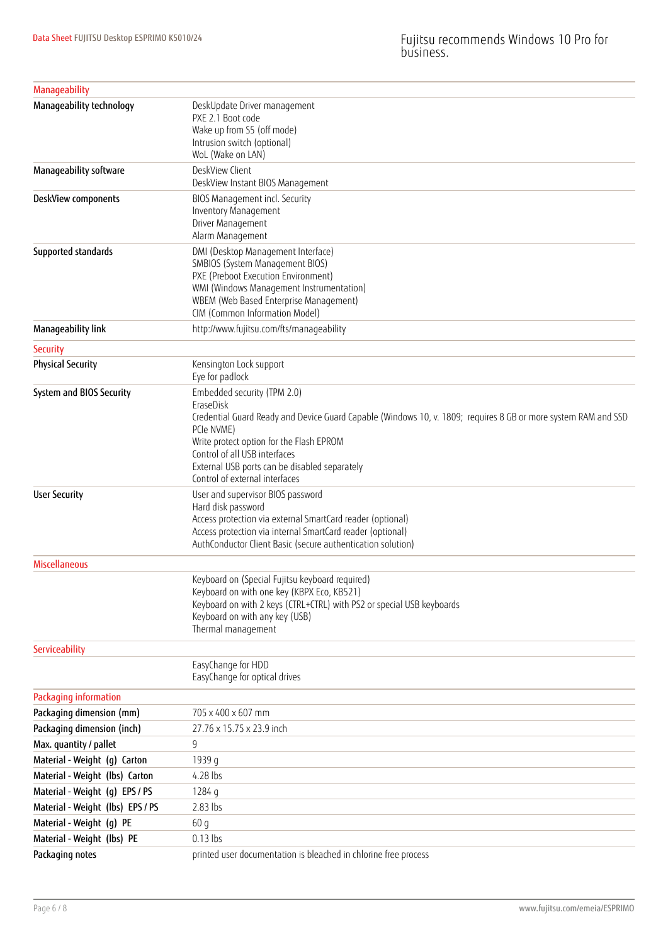| <b>Manageability</b>             |                                                                                                                                                                                                                                                                                                                                          |
|----------------------------------|------------------------------------------------------------------------------------------------------------------------------------------------------------------------------------------------------------------------------------------------------------------------------------------------------------------------------------------|
| Manageability technology         | DeskUpdate Driver management<br>PXE 2.1 Boot code<br>Wake up from S5 (off mode)<br>Intrusion switch (optional)<br>WoL (Wake on LAN)                                                                                                                                                                                                      |
| Manageability software           | DeskView Client<br>DeskView Instant BIOS Management                                                                                                                                                                                                                                                                                      |
| DeskView components              | BIOS Management incl. Security<br>Inventory Management<br>Driver Management<br>Alarm Management                                                                                                                                                                                                                                          |
| Supported standards              | DMI (Desktop Management Interface)<br>SMBIOS (System Management BIOS)<br>PXE (Preboot Execution Environment)<br>WMI (Windows Management Instrumentation)<br>WBEM (Web Based Enterprise Management)<br>CIM (Common Information Model)                                                                                                     |
| Manageability link               | http://www.fujitsu.com/fts/manageability                                                                                                                                                                                                                                                                                                 |
| Security                         |                                                                                                                                                                                                                                                                                                                                          |
| <b>Physical Security</b>         | Kensington Lock support<br>Eye for padlock                                                                                                                                                                                                                                                                                               |
| System and BIOS Security         | Embedded security (TPM 2.0)<br>EraseDisk<br>Credential Guard Ready and Device Guard Capable (Windows 10, v. 1809; requires 8 GB or more system RAM and SSD<br>PCIe NVME)<br>Write protect option for the Flash EPROM<br>Control of all USB interfaces<br>External USB ports can be disabled separately<br>Control of external interfaces |
| <b>User Security</b>             | User and supervisor BIOS password<br>Hard disk password<br>Access protection via external SmartCard reader (optional)<br>Access protection via internal SmartCard reader (optional)<br>AuthConductor Client Basic (secure authentication solution)                                                                                       |
| <b>Miscellaneous</b>             |                                                                                                                                                                                                                                                                                                                                          |
|                                  | Keyboard on (Special Fujitsu keyboard required)<br>Keyboard on with one key (KBPX Eco, KB521)<br>Keyboard on with 2 keys (CTRL+CTRL) with PS2 or special USB keyboards<br>Keyboard on with any key (USB)<br>Thermal management                                                                                                           |
| Serviceability                   |                                                                                                                                                                                                                                                                                                                                          |
|                                  | EasyChange for HDD<br>EasyChange for optical drives                                                                                                                                                                                                                                                                                      |
| Packaging information            |                                                                                                                                                                                                                                                                                                                                          |
| Packaging dimension (mm)         | 705 x 400 x 607 mm                                                                                                                                                                                                                                                                                                                       |
| Packaging dimension (inch)       | 27.76 x 15.75 x 23.9 inch                                                                                                                                                                                                                                                                                                                |
| Max. quantity / pallet           | 9                                                                                                                                                                                                                                                                                                                                        |
| Material - Weight (g) Carton     | 1939 g                                                                                                                                                                                                                                                                                                                                   |
| Material - Weight (lbs) Carton   | 4.28 lbs                                                                                                                                                                                                                                                                                                                                 |
| Material - Weight (g) EPS / PS   | 1284 g                                                                                                                                                                                                                                                                                                                                   |
| Material - Weight (lbs) EPS / PS | 2.83 lbs                                                                                                                                                                                                                                                                                                                                 |
| Material - Weight (g) PE         | 60q                                                                                                                                                                                                                                                                                                                                      |
| Material - Weight (lbs) PE       | $0.13$ lbs                                                                                                                                                                                                                                                                                                                               |
| Packaging notes                  | printed user documentation is bleached in chlorine free process                                                                                                                                                                                                                                                                          |
|                                  |                                                                                                                                                                                                                                                                                                                                          |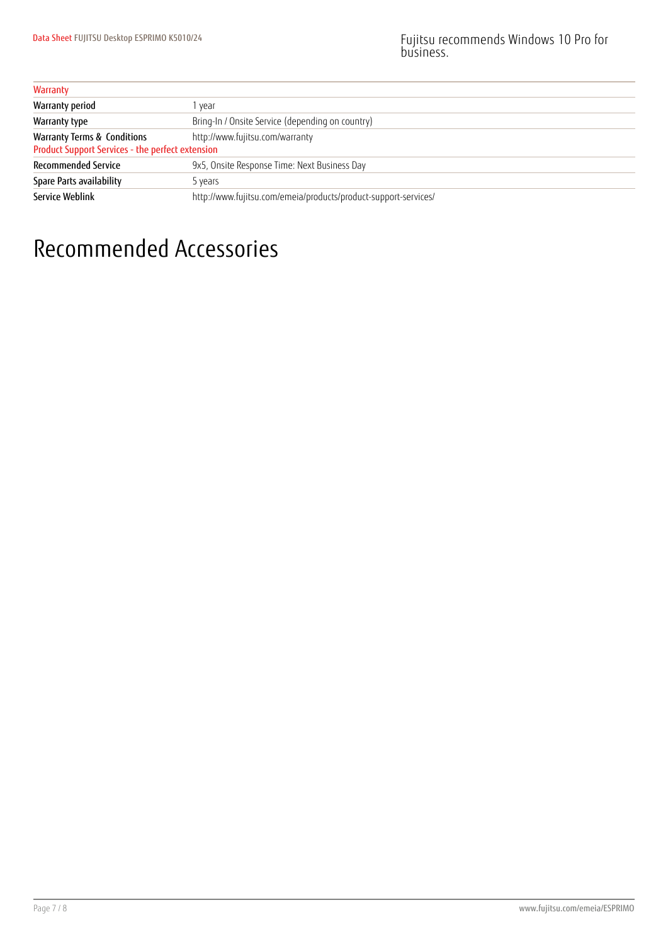| Warranty                                                                                   |                                                                 |
|--------------------------------------------------------------------------------------------|-----------------------------------------------------------------|
| Warranty period                                                                            | vear                                                            |
| Warranty type                                                                              | Bring-In / Onsite Service (depending on country)                |
| <b>Warranty Terms &amp; Conditions</b><br>Product Support Services - the perfect extension | http://www.fujitsu.com/warranty                                 |
| <b>Recommended Service</b>                                                                 | 9x5, Onsite Response Time: Next Business Day                    |
| Spare Parts availability                                                                   | 5 years                                                         |
| <b>Service Weblink</b>                                                                     | http://www.fujitsu.com/emeia/products/product-support-services/ |

### Recommended Accessories